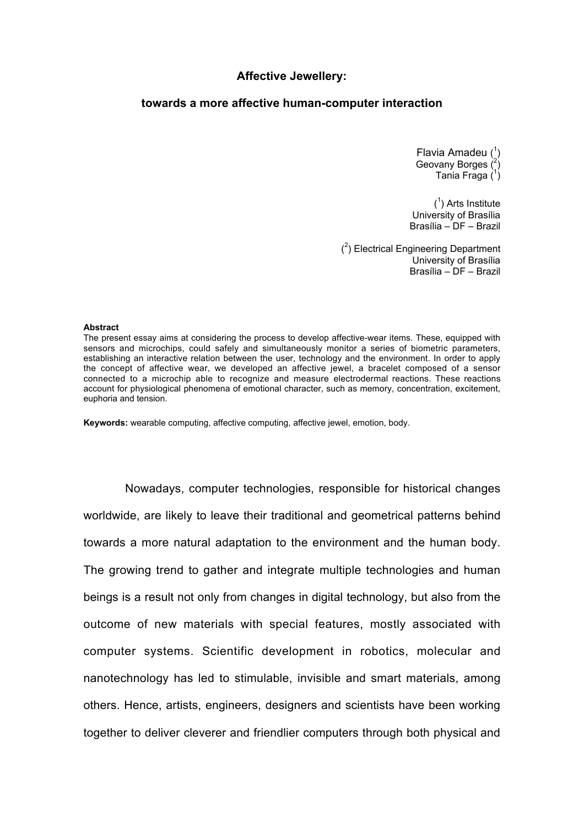## **Affective Jewellery:**

# **towards a more affective human-computer interaction**

Flavia Amadeu (<sup>1</sup>) Geovany Borges (2 ) Tania Fraga (1)

 $(1)$  Arts Institute University of Brasília Brasília – DF – Brazil

 $(2)$  Electrical Engineering Department University of Brasília Brasília – DF – Brazil

#### **Abstract**

The present essay aims at considering the process to develop affective-wear items. These, equipped with sensors and microchips, could safely and simultaneously monitor a series of biometric parameters, establishing an interactive relation between the user, technology and the environment. In order to apply the concept of affective wear, we developed an affective jewel, a bracelet composed of a sensor connected to a microchip able to recognize and measure electrodermal reactions. These reactions account for physiological phenomena of emotional character, such as memory, concentration, excitement, euphoria and tension.

**Keywords:** wearable computing, affective computing, affective jewel, emotion, body.

Nowadays, computer technologies, responsible for historical changes worldwide, are likely to leave their traditional and geometrical patterns behind towards a more natural adaptation to the environment and the human body. The growing trend to gather and integrate multiple technologies and human beings is a result not only from changes in digital technology, but also from the outcome of new materials with special features, mostly associated with computer systems. Scientific development in robotics, molecular and nanotechnology has led to stimulable, invisible and smart materials, among others. Hence, artists, engineers, designers and scientists have been working together to deliver cleverer and friendlier computers through both physical and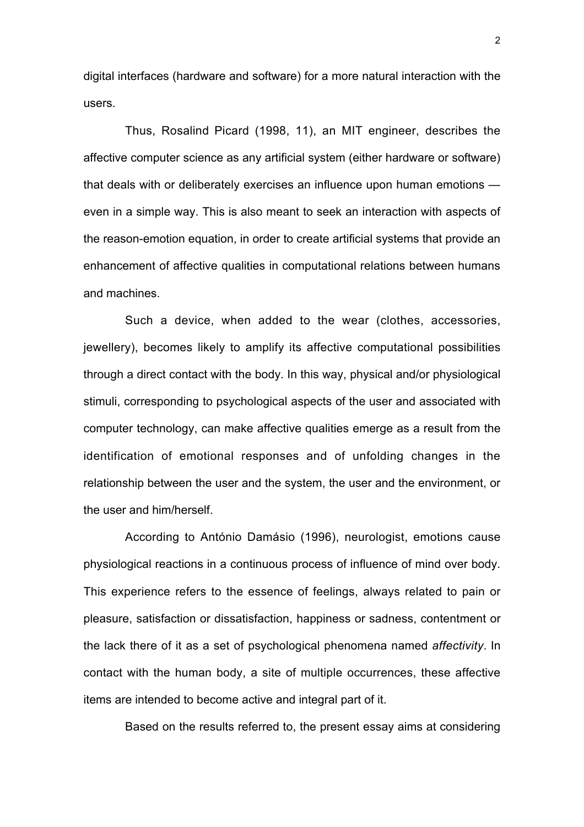digital interfaces (hardware and software) for a more natural interaction with the users.

Thus, Rosalind Picard (1998, 11), an MIT engineer, describes the affective computer science as any artificial system (either hardware or software) that deals with or deliberately exercises an influence upon human emotions even in a simple way. This is also meant to seek an interaction with aspects of the reason-emotion equation, in order to create artificial systems that provide an enhancement of affective qualities in computational relations between humans and machines.

Such a device, when added to the wear (clothes, accessories, jewellery), becomes likely to amplify its affective computational possibilities through a direct contact with the body. In this way, physical and/or physiological stimuli, corresponding to psychological aspects of the user and associated with computer technology, can make affective qualities emerge as a result from the identification of emotional responses and of unfolding changes in the relationship between the user and the system, the user and the environment, or the user and him/herself.

According to António Damásio (1996), neurologist, emotions cause physiological reactions in a continuous process of influence of mind over body. This experience refers to the essence of feelings, always related to pain or pleasure, satisfaction or dissatisfaction, happiness or sadness, contentment or the lack there of it as a set of psychological phenomena named *affectivity*. In contact with the human body, a site of multiple occurrences, these affective items are intended to become active and integral part of it.

Based on the results referred to, the present essay aims at considering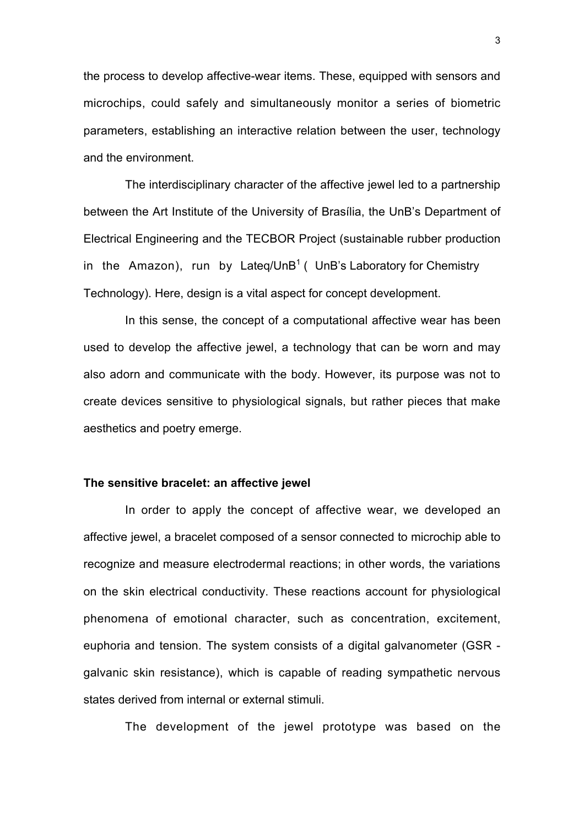the process to develop affective-wear items. These, equipped with sensors and microchips, could safely and simultaneously monitor a series of biometric parameters, establishing an interactive relation between the user, technology and the environment.

The interdisciplinary character of the affective jewel led to a partnership between the Art Institute of the University of Brasília, the UnB's Department of Electrical Engineering and the TECBOR Project (sustainable rubber production in the Amazon), run by Lateq/UnB<sup>1</sup> ( UnB's Laboratory for Chemistry Technology). Here, design is a vital aspect for concept development.

In this sense, the concept of a computational affective wear has been used to develop the affective jewel, a technology that can be worn and may also adorn and communicate with the body. However, its purpose was not to create devices sensitive to physiological signals, but rather pieces that make aesthetics and poetry emerge.

## **The sensitive bracelet: an affective jewel**

In order to apply the concept of affective wear, we developed an affective jewel, a bracelet composed of a sensor connected to microchip able to recognize and measure electrodermal reactions; in other words, the variations on the skin electrical conductivity. These reactions account for physiological phenomena of emotional character, such as concentration, excitement, euphoria and tension. The system consists of a digital galvanometer (GSR galvanic skin resistance), which is capable of reading sympathetic nervous states derived from internal or external stimuli.

The development of the jewel prototype was based on the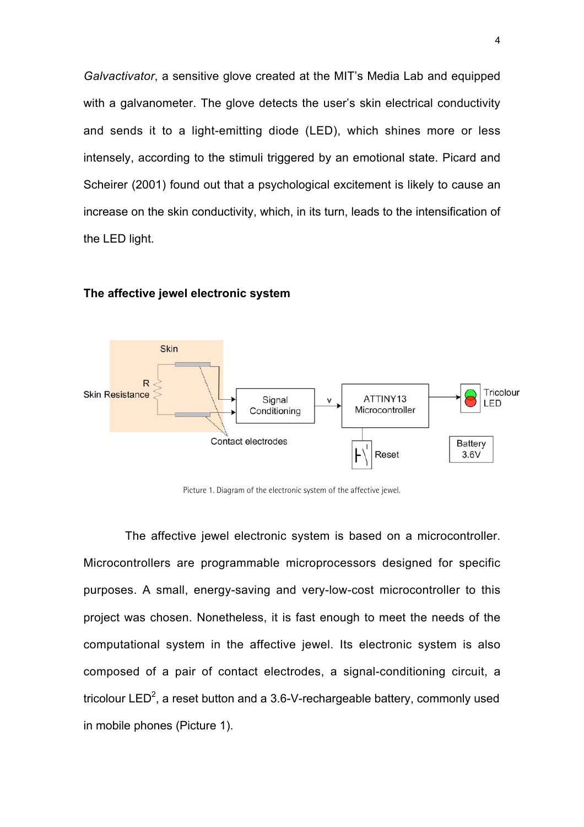*Galvactivator*, a sensitive glove created at the MIT's Media Lab and equipped with a galvanometer. The glove detects the user's skin electrical conductivity and sends it to a light-emitting diode (LED), which shines more or less intensely, according to the stimuli triggered by an emotional state. Picard and Scheirer (2001) found out that a psychological excitement is likely to cause an increase on the skin conductivity, which, in its turn, leads to the intensification of the LED light.



### **The affective jewel electronic system**

Picture 1. Diagram of the electronic system of the affective jewel.

The affective jewel electronic system is based on a microcontroller. Microcontrollers are programmable microprocessors designed for specific purposes. A small, energy-saving and very-low-cost microcontroller to this project was chosen. Nonetheless, it is fast enough to meet the needs of the computational system in the affective jewel. Its electronic system is also composed of a pair of contact electrodes, a signal-conditioning circuit, a tricolour LED<sup>2</sup>, a reset button and a 3.6-V-rechargeable battery, commonly used in mobile phones (Picture 1).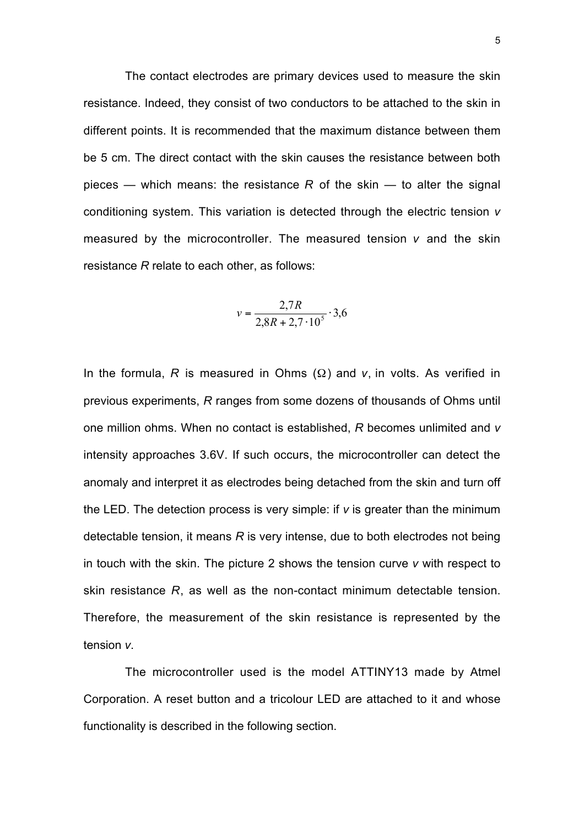The contact electrodes are primary devices used to measure the skin resistance. Indeed, they consist of two conductors to be attached to the skin in different points. It is recommended that the maximum distance between them be 5 cm. The direct contact with the skin causes the resistance between both pieces — which means: the resistance  $R$  of the skin — to alter the signal conditioning system. This variation is detected through the electric tension *v* measured by the microcontroller. The measured tension *v* and the skin resistance *R* relate to each other, as follows:

$$
v = \frac{2.7R}{2.8R + 2.7 \cdot 10^5} \cdot 3.6
$$

In the formula,  $R$  is measured in Ohms  $(\Omega)$  and  $v$ , in volts. As verified in previous experiments, *R* ranges from some dozens of thousands of Ohms until one million ohms. When no contact is established, *R* becomes unlimited and *v* intensity approaches 3.6V. If such occurs, the microcontroller can detect the anomaly and interpret it as electrodes being detached from the skin and turn off the LED. The detection process is very simple: if *v* is greater than the minimum detectable tension, it means *R* is very intense, due to both electrodes not being in touch with the skin. The picture 2 shows the tension curve *v* with respect to skin resistance *R*, as well as the non-contact minimum detectable tension. Therefore, the measurement of the skin resistance is represented by the tension *v*.

The microcontroller used is the model ATTINY13 made by Atmel Corporation. A reset button and a tricolour LED are attached to it and whose functionality is described in the following section.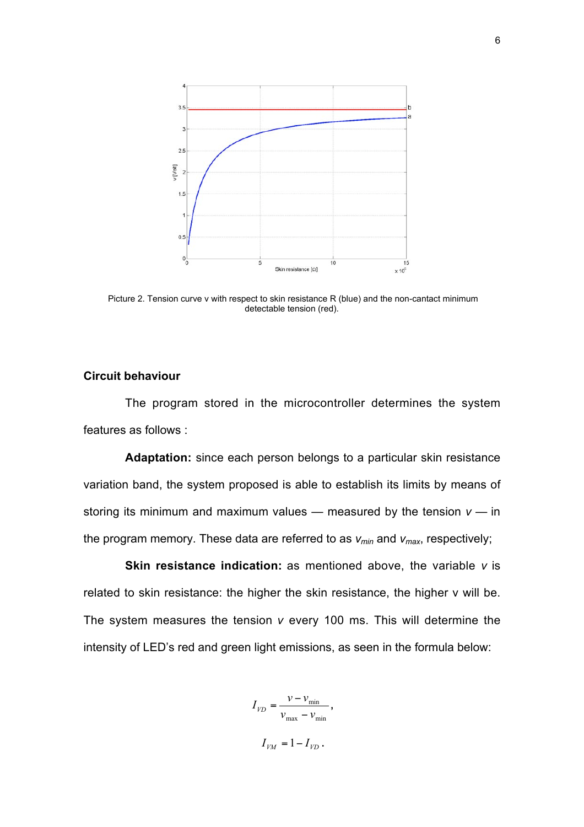

 Picture 2. Tension curve v with respect to skin resistance R (blue) and the non-cantact minimum detectable tension (red).

# **Circuit behaviour**

The program stored in the microcontroller determines the system features as follows :

**Adaptation:** since each person belongs to a particular skin resistance variation band, the system proposed is able to establish its limits by means of storing its minimum and maximum values  $-$  measured by the tension  $v - in$ the program memory. These data are referred to as *vmin* and *vmax*, respectively;

**Skin resistance indication:** as mentioned above, the variable *v* is related to skin resistance: the higher the skin resistance, the higher v will be. The system measures the tension *v* every 100 ms. This will determine the intensity of LED's red and green light emissions, as seen in the formula below:

> $_{\text{max}} - v_{\text{min}}$ min  $I_{VD} = \frac{v - v_{\text{min}}}{v_{\text{max}} - v_{\text{min}}},$  $I_{VM} = 1 - I_{VD}$ .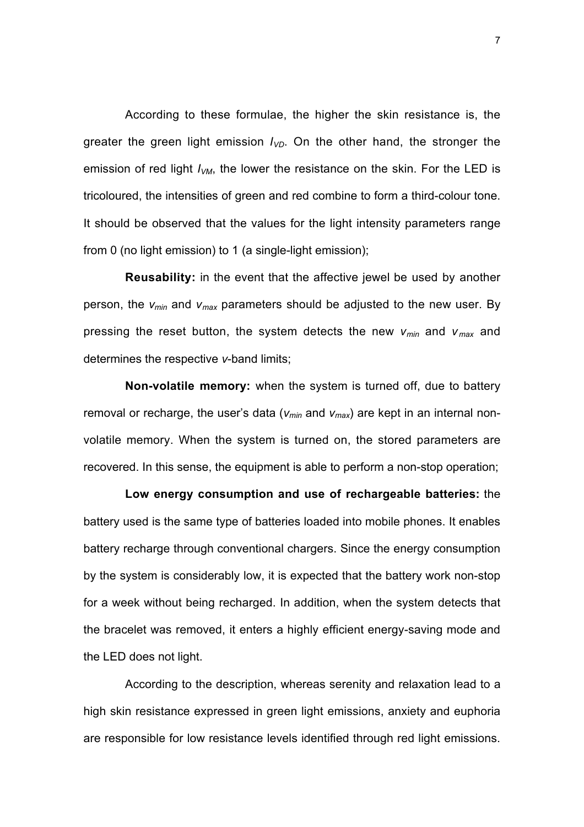According to these formulae, the higher the skin resistance is, the greater the green light emission  $I_{VD}$ . On the other hand, the stronger the emission of red light  $I_{VM}$ , the lower the resistance on the skin. For the LED is tricoloured, the intensities of green and red combine to form a third-colour tone. It should be observed that the values for the light intensity parameters range from 0 (no light emission) to 1 (a single-light emission);

**Reusability:** in the event that the affective jewel be used by another person, the *vmin* and *vmax* parameters should be adjusted to the new user. By pressing the reset button, the system detects the new *vmin* and *v max* and determines the respective *v*-band limits;

**Non-volatile memory:** when the system is turned off, due to battery removal or recharge, the user's data ( $v_{min}$  and  $v_{max}$ ) are kept in an internal nonvolatile memory. When the system is turned on, the stored parameters are recovered. In this sense, the equipment is able to perform a non-stop operation;

**Low energy consumption and use of rechargeable batteries:** the battery used is the same type of batteries loaded into mobile phones. It enables battery recharge through conventional chargers. Since the energy consumption by the system is considerably low, it is expected that the battery work non-stop for a week without being recharged. In addition, when the system detects that the bracelet was removed, it enters a highly efficient energy-saving mode and the LED does not light.

According to the description, whereas serenity and relaxation lead to a high skin resistance expressed in green light emissions, anxiety and euphoria are responsible for low resistance levels identified through red light emissions.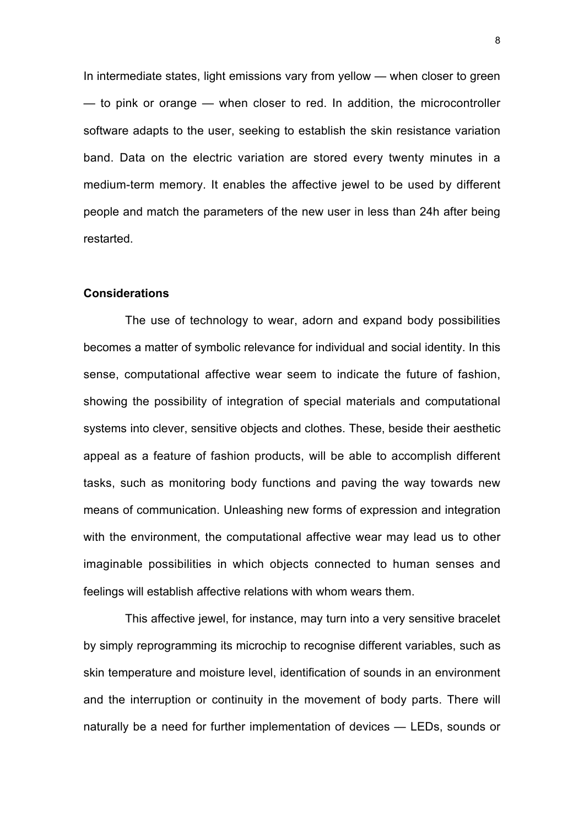In intermediate states, light emissions vary from yellow — when closer to green — to pink or orange — when closer to red. In addition, the microcontroller software adapts to the user, seeking to establish the skin resistance variation band. Data on the electric variation are stored every twenty minutes in a medium-term memory. It enables the affective jewel to be used by different people and match the parameters of the new user in less than 24h after being restarted.

# **Considerations**

The use of technology to wear, adorn and expand body possibilities becomes a matter of symbolic relevance for individual and social identity. In this sense, computational affective wear seem to indicate the future of fashion, showing the possibility of integration of special materials and computational systems into clever, sensitive objects and clothes. These, beside their aesthetic appeal as a feature of fashion products, will be able to accomplish different tasks, such as monitoring body functions and paving the way towards new means of communication. Unleashing new forms of expression and integration with the environment, the computational affective wear may lead us to other imaginable possibilities in which objects connected to human senses and feelings will establish affective relations with whom wears them.

This affective jewel, for instance, may turn into a very sensitive bracelet by simply reprogramming its microchip to recognise different variables, such as skin temperature and moisture level, identification of sounds in an environment and the interruption or continuity in the movement of body parts. There will naturally be a need for further implementation of devices — LEDs, sounds or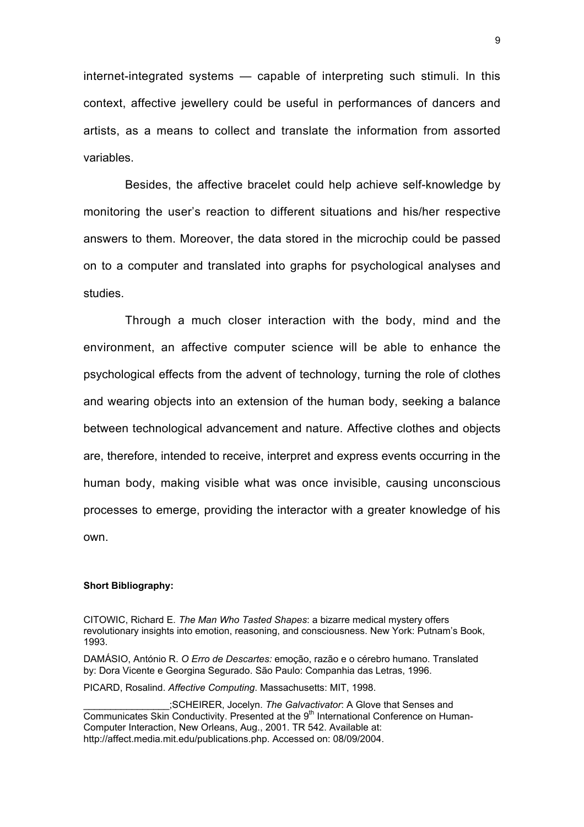internet-integrated systems — capable of interpreting such stimuli. In this context, affective jewellery could be useful in performances of dancers and artists, as a means to collect and translate the information from assorted variables.

Besides, the affective bracelet could help achieve self-knowledge by monitoring the user's reaction to different situations and his/her respective answers to them. Moreover, the data stored in the microchip could be passed on to a computer and translated into graphs for psychological analyses and studies.

Through a much closer interaction with the body, mind and the environment, an affective computer science will be able to enhance the psychological effects from the advent of technology, turning the role of clothes and wearing objects into an extension of the human body, seeking a balance between technological advancement and nature. Affective clothes and objects are, therefore, intended to receive, interpret and express events occurring in the human body, making visible what was once invisible, causing unconscious processes to emerge, providing the interactor with a greater knowledge of his own.

## **Short Bibliography:**

CITOWIC, Richard E. *The Man Who Tasted Shapes*: a bizarre medical mystery offers revolutionary insights into emotion, reasoning, and consciousness. New York: Putnam's Book, 1993.

DAMÁSIO, António R. *O Erro de Descartes:* emoção, razão e o cérebro humano. Translated by: Dora Vicente e Georgina Segurado. São Paulo: Companhia das Letras, 1996.

PICARD, Rosalind. *Affective Computing*. Massachusetts: MIT, 1998.

\_\_\_\_\_\_\_\_\_\_\_\_\_\_\_\_;SCHEIRER, Jocelyn. *The Galvactivator*: A Glove that Senses and Communicates Skin Conductivity. Presented at the 9th International Conference on Human-Computer Interaction, New Orleans, Aug., 2001. TR 542. Available at: http://affect.media.mit.edu/publications.php. Accessed on: 08/09/2004.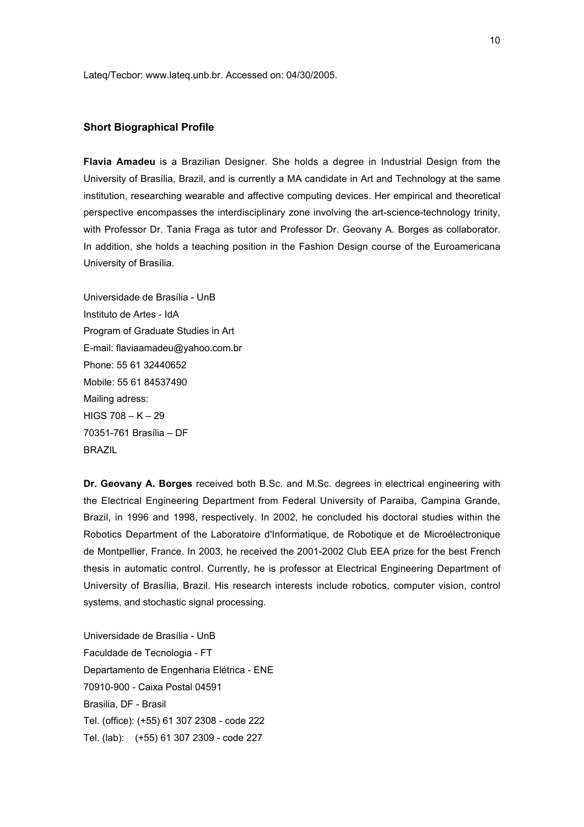Lateq/Tecbor: www.lateq.unb.br. Accessed on: 04/30/2005.

#### **Short Biographical Profile**

**Flavia Amadeu** is a Brazilian Designer. She holds a degree in Industrial Design from the University of Brasília, Brazil, and is currently a MA candidate in Art and Technology at the same institution, researching wearable and affective computing devices. Her empirical and theoretical perspective encompasses the interdisciplinary zone involving the art-science-technology trinity, with Professor Dr. Tania Fraga as tutor and Professor Dr. Geovany A. Borges as collaborator. In addition, she holds a teaching position in the Fashion Design course of the Euroamericana University of Brasília.

Universidade de Brasília - UnB Instituto de Artes - IdA Program of Graduate Studies in Art E-mail: flaviaamadeu@yahoo.com.br Phone: 55 61 32440652 Mobile: 55 61 84537490 Mailing adress:  $HIGS$  708 – K – 29 70351-761 Brasília – DF **BRAZIL** 

**Dr. Geovany A. Borges** received both B.Sc. and M.Sc. degrees in electrical engineering with the Electrical Engineering Department from Federal University of Paraiba, Campina Grande, Brazil, in 1996 and 1998, respectively. In 2002, he concluded his doctoral studies within the Robotics Department of the Laboratoire d'Informatique, de Robotique et de Microélectronique de Montpellier, France. In 2003, he received the 2001-2002 Club EEA prize for the best French thesis in automatic control. Currently, he is professor at Electrical Engineering Department of University of Brasília, Brazil. His research interests include robotics, computer vision, control systems, and stochastic signal processing.

Universidade de Brasília - UnB Faculdade de Tecnologia - FT Departamento de Engenharia Elétrica - ENE 70910-900 - Caixa Postal 04591 Brasilia, DF - Brasil Tel. (office): (+55) 61 307 2308 - code 222 Tel. (lab): (+55) 61 307 2309 - code 227